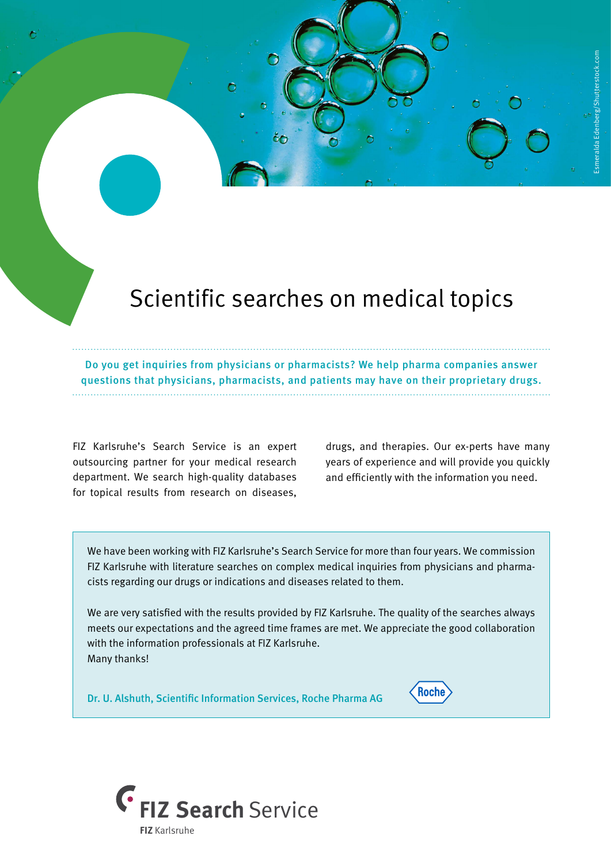## Scientific searches on medical topics

Do you get inquiries from physicians or pharmacists? We help pharma companies answer questions that physicians, pharmacists, and patients may have on their proprietary drugs.

FIZ Karlsruhe's Search Service is an expert outsourcing partner for your medical research department. We search high-quality databases for topical results from research on diseases,

drugs, and therapies. Our ex-perts have many years of experience and will provide you quickly and efficiently with the information you need.

**Roche** 

We have been working with FIZ Karlsruhe's Search Service for more than four years. We commission FIZ Karlsruhe with literature searches on complex medical inquiries from physicians and pharmacists regarding our drugs or indications and diseases related to them.

We are very satisfied with the results provided by FIZ Karlsruhe. The quality of the searches always meets our expectations and the agreed time frames are met. We appreciate the good collaboration with the information professionals at FIZ Karlsruhe. Many thanks!

Dr. U. Alshuth, Scientific Information Services, Roche Pharma AG